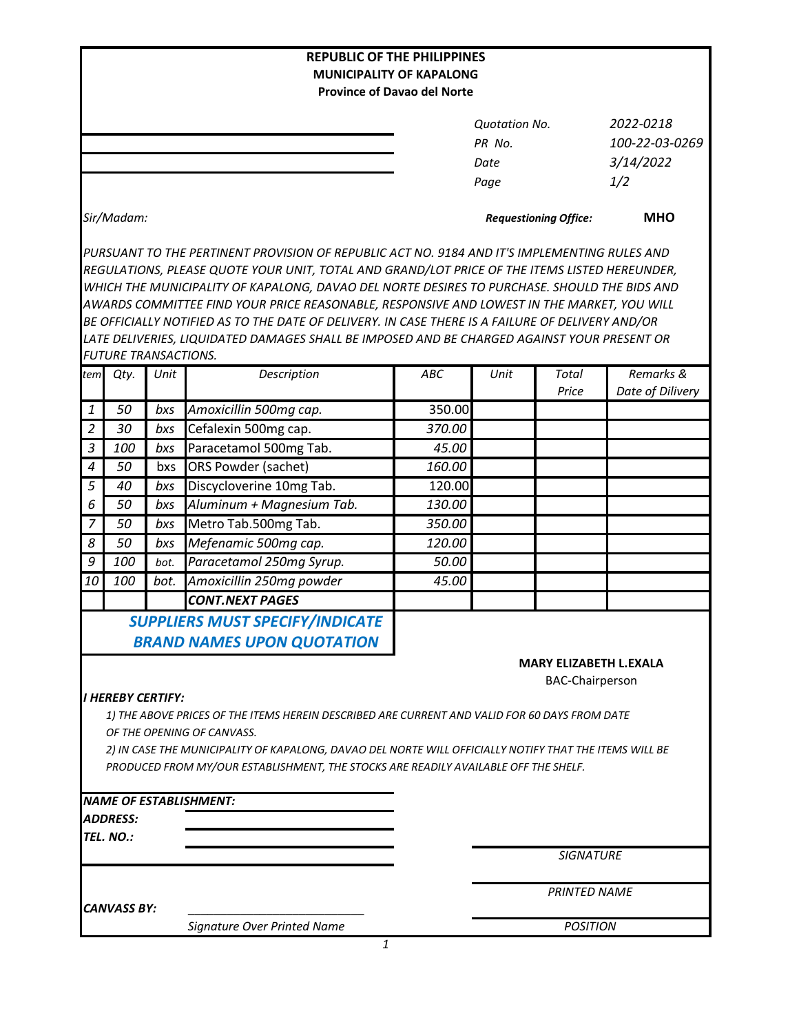|                                                                                                        |                             |      | <b>REPUBLIC OF THE PHILIPPINES</b><br><b>MUNICIPALITY OF KAPALONG</b>                            |            |                              |                               |                  |  |  |  |
|--------------------------------------------------------------------------------------------------------|-----------------------------|------|--------------------------------------------------------------------------------------------------|------------|------------------------------|-------------------------------|------------------|--|--|--|
|                                                                                                        |                             |      | <b>Province of Davao del Norte</b>                                                               |            |                              |                               |                  |  |  |  |
|                                                                                                        |                             |      |                                                                                                  |            |                              |                               |                  |  |  |  |
|                                                                                                        |                             |      |                                                                                                  |            | <b>Quotation No.</b>         |                               | 2022-0218        |  |  |  |
|                                                                                                        |                             |      |                                                                                                  |            | PR No.                       |                               | 100-22-03-0269   |  |  |  |
|                                                                                                        |                             |      |                                                                                                  |            | Date                         |                               | 3/14/2022        |  |  |  |
|                                                                                                        |                             |      |                                                                                                  |            | Page                         |                               | 1/2              |  |  |  |
|                                                                                                        | Sir/Madam:                  |      |                                                                                                  |            | <b>Requestioning Office:</b> | <b>MHO</b>                    |                  |  |  |  |
|                                                                                                        |                             |      | PURSUANT TO THE PERTINENT PROVISION OF REPUBLIC ACT NO. 9184 AND IT'S IMPLEMENTING RULES AND     |            |                              |                               |                  |  |  |  |
|                                                                                                        |                             |      | REGULATIONS, PLEASE QUOTE YOUR UNIT, TOTAL AND GRAND/LOT PRICE OF THE ITEMS LISTED HEREUNDER,    |            |                              |                               |                  |  |  |  |
|                                                                                                        |                             |      | WHICH THE MUNICIPALITY OF KAPALONG, DAVAO DEL NORTE DESIRES TO PURCHASE. SHOULD THE BIDS AND     |            |                              |                               |                  |  |  |  |
|                                                                                                        |                             |      | AWARDS COMMITTEE FIND YOUR PRICE REASONABLE, RESPONSIVE AND LOWEST IN THE MARKET, YOU WILL       |            |                              |                               |                  |  |  |  |
|                                                                                                        |                             |      | BE OFFICIALLY NOTIFIED AS TO THE DATE OF DELIVERY. IN CASE THERE IS A FAILURE OF DELIVERY AND/OR |            |                              |                               |                  |  |  |  |
|                                                                                                        |                             |      | LATE DELIVERIES, LIQUIDATED DAMAGES SHALL BE IMPOSED AND BE CHARGED AGAINST YOUR PRESENT OR      |            |                              |                               |                  |  |  |  |
|                                                                                                        | <b>FUTURE TRANSACTIONS.</b> |      |                                                                                                  |            |                              |                               |                  |  |  |  |
| tem                                                                                                    | Qty.                        | Unit | Description                                                                                      | <b>ABC</b> | Unit                         | <b>Total</b>                  | Remarks &        |  |  |  |
|                                                                                                        |                             |      |                                                                                                  |            |                              | Price                         | Date of Dilivery |  |  |  |
| 1                                                                                                      | 50                          | bxs  | Amoxicillin 500mg cap.                                                                           | 350.00     |                              |                               |                  |  |  |  |
| $\overline{2}$                                                                                         | 30                          | bxs  | Cefalexin 500mg cap.                                                                             | 370.00     |                              |                               |                  |  |  |  |
| 3                                                                                                      | 100                         | bxs  | Paracetamol 500mg Tab.                                                                           | 45.00      |                              |                               |                  |  |  |  |
| $\boldsymbol{4}$                                                                                       | 50                          | bxs  | ORS Powder (sachet)                                                                              | 160.00     |                              |                               |                  |  |  |  |
| 5                                                                                                      | 40                          | bxs  | Discycloverine 10mg Tab.                                                                         | 120.00     |                              |                               |                  |  |  |  |
| 6                                                                                                      | 50                          | bxs  | Aluminum + Magnesium Tab.                                                                        | 130.00     |                              |                               |                  |  |  |  |
| 7                                                                                                      | 50                          | bxs  | Metro Tab.500mg Tab.                                                                             | 350.00     |                              |                               |                  |  |  |  |
| 8                                                                                                      | 50                          | bxs  | Mefenamic 500mg cap.                                                                             | 120.00     |                              |                               |                  |  |  |  |
| 9                                                                                                      | 100                         | bot. | Paracetamol 250mg Syrup.                                                                         | 50.00      |                              |                               |                  |  |  |  |
| 10                                                                                                     | 100                         | bot. | Amoxicillin 250mg powder                                                                         | 45.00      |                              |                               |                  |  |  |  |
|                                                                                                        |                             |      | <b>CONT.NEXT PAGES</b>                                                                           |            |                              |                               |                  |  |  |  |
|                                                                                                        |                             |      | <b>SUPPLIERS MUST SPECIFY/INDICATE</b>                                                           |            |                              |                               |                  |  |  |  |
|                                                                                                        |                             |      | <b>BRAND NAMES UPON QUOTATION</b>                                                                |            |                              |                               |                  |  |  |  |
|                                                                                                        |                             |      |                                                                                                  |            |                              | <b>MARY ELIZABETH L.EXALA</b> |                  |  |  |  |
|                                                                                                        |                             |      |                                                                                                  |            |                              | <b>BAC-Chairperson</b>        |                  |  |  |  |
|                                                                                                        | I HEREBY CERTIFY:           |      |                                                                                                  |            |                              |                               |                  |  |  |  |
|                                                                                                        |                             |      | 1) THE ABOVE PRICES OF THE ITEMS HEREIN DESCRIBED ARE CURRENT AND VALID FOR 60 DAYS FROM DATE    |            |                              |                               |                  |  |  |  |
|                                                                                                        |                             |      | OF THE OPENING OF CANVASS.                                                                       |            |                              |                               |                  |  |  |  |
| 2) IN CASE THE MUNICIPALITY OF KAPALONG, DAVAO DEL NORTE WILL OFFICIALLY NOTIFY THAT THE ITEMS WILL BE |                             |      |                                                                                                  |            |                              |                               |                  |  |  |  |
|                                                                                                        |                             |      | PRODUCED FROM MY/OUR ESTABLISHMENT, THE STOCKS ARE READILY AVAILABLE OFF THE SHELF.              |            |                              |                               |                  |  |  |  |
|                                                                                                        |                             |      |                                                                                                  |            |                              |                               |                  |  |  |  |
|                                                                                                        |                             |      | <b>NAME OF ESTABLISHMENT:</b>                                                                    |            |                              |                               |                  |  |  |  |
|                                                                                                        | <b>ADDRESS:</b>             |      |                                                                                                  |            |                              |                               |                  |  |  |  |
|                                                                                                        | TEL. NO.:                   |      |                                                                                                  |            |                              |                               |                  |  |  |  |
|                                                                                                        |                             |      |                                                                                                  |            |                              | <b>SIGNATURE</b>              |                  |  |  |  |
|                                                                                                        |                             |      |                                                                                                  |            | <b>PRINTED NAME</b>          |                               |                  |  |  |  |
|                                                                                                        | <b>CANVASS BY:</b>          |      |                                                                                                  |            |                              |                               |                  |  |  |  |
|                                                                                                        |                             |      | <b>Signature Over Printed Name</b>                                                               |            | <b>POSITION</b>              |                               |                  |  |  |  |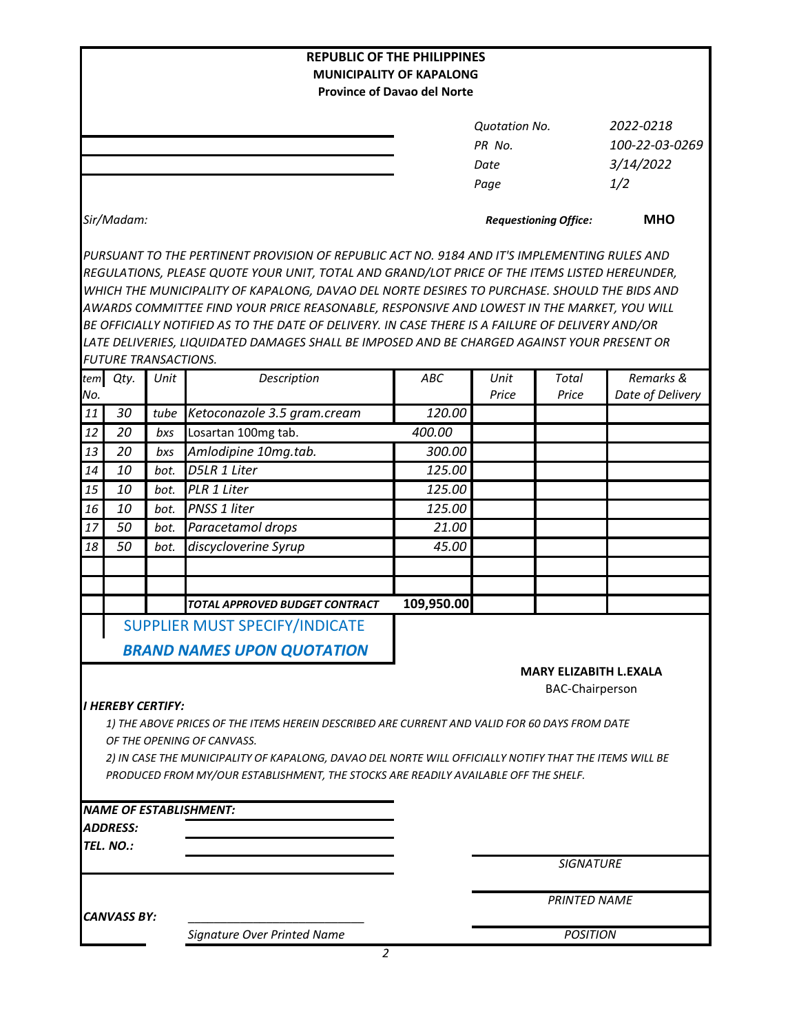| <b>REPUBLIC OF THE PHILIPPINES</b>                                    |                                                                                                                                                                                               |      |                                                                                                                                                                                                |            |                              |                               |                  |  |  |  |  |  |  |
|-----------------------------------------------------------------------|-----------------------------------------------------------------------------------------------------------------------------------------------------------------------------------------------|------|------------------------------------------------------------------------------------------------------------------------------------------------------------------------------------------------|------------|------------------------------|-------------------------------|------------------|--|--|--|--|--|--|
| <b>MUNICIPALITY OF KAPALONG</b><br><b>Province of Davao del Norte</b> |                                                                                                                                                                                               |      |                                                                                                                                                                                                |            |                              |                               |                  |  |  |  |  |  |  |
|                                                                       |                                                                                                                                                                                               |      |                                                                                                                                                                                                |            |                              |                               |                  |  |  |  |  |  |  |
|                                                                       |                                                                                                                                                                                               |      |                                                                                                                                                                                                |            | <b>Quotation No.</b>         |                               | 2022-0218        |  |  |  |  |  |  |
|                                                                       |                                                                                                                                                                                               |      |                                                                                                                                                                                                |            | PR No.                       |                               | 100-22-03-0269   |  |  |  |  |  |  |
|                                                                       |                                                                                                                                                                                               |      |                                                                                                                                                                                                |            | Date                         |                               | 3/14/2022        |  |  |  |  |  |  |
|                                                                       |                                                                                                                                                                                               |      |                                                                                                                                                                                                |            | Page                         |                               | 1/2              |  |  |  |  |  |  |
|                                                                       | Sir/Madam:                                                                                                                                                                                    |      |                                                                                                                                                                                                |            | <b>Requestioning Office:</b> |                               | <b>MHO</b>       |  |  |  |  |  |  |
|                                                                       |                                                                                                                                                                                               |      |                                                                                                                                                                                                |            |                              |                               |                  |  |  |  |  |  |  |
|                                                                       | PURSUANT TO THE PERTINENT PROVISION OF REPUBLIC ACT NO. 9184 AND IT'S IMPLEMENTING RULES AND                                                                                                  |      |                                                                                                                                                                                                |            |                              |                               |                  |  |  |  |  |  |  |
|                                                                       | REGULATIONS, PLEASE QUOTE YOUR UNIT, TOTAL AND GRAND/LOT PRICE OF THE ITEMS LISTED HEREUNDER,<br>WHICH THE MUNICIPALITY OF KAPALONG, DAVAO DEL NORTE DESIRES TO PURCHASE. SHOULD THE BIDS AND |      |                                                                                                                                                                                                |            |                              |                               |                  |  |  |  |  |  |  |
|                                                                       |                                                                                                                                                                                               |      |                                                                                                                                                                                                |            |                              |                               |                  |  |  |  |  |  |  |
|                                                                       |                                                                                                                                                                                               |      | AWARDS COMMITTEE FIND YOUR PRICE REASONABLE, RESPONSIVE AND LOWEST IN THE MARKET, YOU WILL<br>BE OFFICIALLY NOTIFIED AS TO THE DATE OF DELIVERY. IN CASE THERE IS A FAILURE OF DELIVERY AND/OR |            |                              |                               |                  |  |  |  |  |  |  |
|                                                                       |                                                                                                                                                                                               |      | LATE DELIVERIES, LIQUIDATED DAMAGES SHALL BE IMPOSED AND BE CHARGED AGAINST YOUR PRESENT OR                                                                                                    |            |                              |                               |                  |  |  |  |  |  |  |
|                                                                       | <b>FUTURE TRANSACTIONS.</b>                                                                                                                                                                   |      |                                                                                                                                                                                                |            |                              |                               |                  |  |  |  |  |  |  |
|                                                                       | tem Qty.                                                                                                                                                                                      | Unit | Description                                                                                                                                                                                    | <b>ABC</b> | Unit                         | <b>Total</b>                  | Remarks &        |  |  |  |  |  |  |
| No.                                                                   |                                                                                                                                                                                               |      |                                                                                                                                                                                                |            | Price                        | Price                         | Date of Delivery |  |  |  |  |  |  |
| 11                                                                    | 30                                                                                                                                                                                            | tube | Ketoconazole 3.5 gram.cream                                                                                                                                                                    | 120.00     |                              |                               |                  |  |  |  |  |  |  |
| 12                                                                    | 20                                                                                                                                                                                            | bxs  | Losartan 100mg tab.                                                                                                                                                                            | 400.00     |                              |                               |                  |  |  |  |  |  |  |
| 13                                                                    | 20                                                                                                                                                                                            | bxs  | Amlodipine 10mg.tab.                                                                                                                                                                           | 300.00     |                              |                               |                  |  |  |  |  |  |  |
| 14                                                                    | 10                                                                                                                                                                                            | bot. | D5LR 1 Liter                                                                                                                                                                                   | 125.00     |                              |                               |                  |  |  |  |  |  |  |
| 15                                                                    | 10                                                                                                                                                                                            | bot. | PLR 1 Liter                                                                                                                                                                                    | 125.00     |                              |                               |                  |  |  |  |  |  |  |
| 16                                                                    | 10                                                                                                                                                                                            | bot. | PNSS 1 liter                                                                                                                                                                                   | 125.00     |                              |                               |                  |  |  |  |  |  |  |
| 17                                                                    | 50                                                                                                                                                                                            | bot. | Paracetamol drops                                                                                                                                                                              | 21.00      |                              |                               |                  |  |  |  |  |  |  |
| 18                                                                    | 50                                                                                                                                                                                            | bot. | discycloverine Syrup                                                                                                                                                                           | 45.00      |                              |                               |                  |  |  |  |  |  |  |
|                                                                       |                                                                                                                                                                                               |      |                                                                                                                                                                                                |            |                              |                               |                  |  |  |  |  |  |  |
|                                                                       |                                                                                                                                                                                               |      |                                                                                                                                                                                                |            |                              |                               |                  |  |  |  |  |  |  |
|                                                                       |                                                                                                                                                                                               |      | <b>TOTAL APPROVED BUDGET CONTRACT</b>                                                                                                                                                          | 109,950.00 |                              |                               |                  |  |  |  |  |  |  |
|                                                                       |                                                                                                                                                                                               |      | <b>SUPPLIER MUST SPECIFY/INDICATE</b>                                                                                                                                                          |            |                              |                               |                  |  |  |  |  |  |  |
|                                                                       |                                                                                                                                                                                               |      | <b>BRAND NAMES UPON QUOTATION</b>                                                                                                                                                              |            |                              |                               |                  |  |  |  |  |  |  |
|                                                                       |                                                                                                                                                                                               |      |                                                                                                                                                                                                |            |                              | <b>MARY ELIZABITH L.EXALA</b> |                  |  |  |  |  |  |  |
|                                                                       |                                                                                                                                                                                               |      |                                                                                                                                                                                                |            |                              | <b>BAC-Chairperson</b>        |                  |  |  |  |  |  |  |
|                                                                       | <b>I HEREBY CERTIFY:</b>                                                                                                                                                                      |      |                                                                                                                                                                                                |            |                              |                               |                  |  |  |  |  |  |  |
|                                                                       |                                                                                                                                                                                               |      | 1) THE ABOVE PRICES OF THE ITEMS HEREIN DESCRIBED ARE CURRENT AND VALID FOR 60 DAYS FROM DATE                                                                                                  |            |                              |                               |                  |  |  |  |  |  |  |
|                                                                       |                                                                                                                                                                                               |      | OF THE OPENING OF CANVASS.                                                                                                                                                                     |            |                              |                               |                  |  |  |  |  |  |  |
|                                                                       |                                                                                                                                                                                               |      | 2) IN CASE THE MUNICIPALITY OF KAPALONG, DAVAO DEL NORTE WILL OFFICIALLY NOTIFY THAT THE ITEMS WILL BE                                                                                         |            |                              |                               |                  |  |  |  |  |  |  |
|                                                                       |                                                                                                                                                                                               |      | PRODUCED FROM MY/OUR ESTABLISHMENT, THE STOCKS ARE READILY AVAILABLE OFF THE SHELF.                                                                                                            |            |                              |                               |                  |  |  |  |  |  |  |
|                                                                       |                                                                                                                                                                                               |      |                                                                                                                                                                                                |            |                              |                               |                  |  |  |  |  |  |  |
|                                                                       |                                                                                                                                                                                               |      | <b>NAME OF ESTABLISHMENT:</b>                                                                                                                                                                  |            |                              |                               |                  |  |  |  |  |  |  |
|                                                                       | <b>ADDRESS:</b>                                                                                                                                                                               |      |                                                                                                                                                                                                |            |                              |                               |                  |  |  |  |  |  |  |
|                                                                       | TEL. NO.:                                                                                                                                                                                     |      |                                                                                                                                                                                                |            |                              |                               |                  |  |  |  |  |  |  |
|                                                                       |                                                                                                                                                                                               |      |                                                                                                                                                                                                |            |                              | <b>SIGNATURE</b>              |                  |  |  |  |  |  |  |
|                                                                       |                                                                                                                                                                                               |      |                                                                                                                                                                                                |            | <b>PRINTED NAME</b>          |                               |                  |  |  |  |  |  |  |
| <b>CANVASS BY:</b>                                                    |                                                                                                                                                                                               |      | <b>Signature Over Printed Name</b>                                                                                                                                                             |            | <b>POSITION</b>              |                               |                  |  |  |  |  |  |  |
|                                                                       |                                                                                                                                                                                               |      |                                                                                                                                                                                                |            |                              |                               |                  |  |  |  |  |  |  |